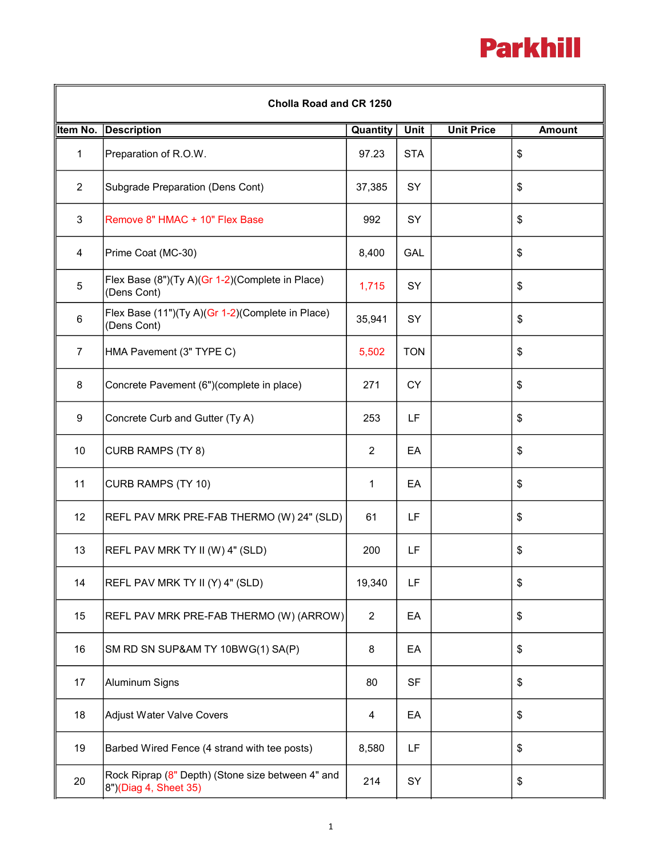## **Parkhill**

| Cholla Road and CR 1250 |                                                                            |                |            |                   |               |  |  |  |
|-------------------------|----------------------------------------------------------------------------|----------------|------------|-------------------|---------------|--|--|--|
| Item No.                | <b>Description</b>                                                         | Quantity       | Unit       | <b>Unit Price</b> | <b>Amount</b> |  |  |  |
| $\mathbf{1}$            | Preparation of R.O.W.                                                      | 97.23          | <b>STA</b> |                   | \$            |  |  |  |
| $\overline{2}$          | Subgrade Preparation (Dens Cont)                                           | 37,385         | <b>SY</b>  |                   | \$            |  |  |  |
| 3                       | Remove 8" HMAC + 10" Flex Base                                             | 992            | SY         |                   | \$            |  |  |  |
| 4                       | Prime Coat (MC-30)                                                         | 8,400          | <b>GAL</b> |                   | \$            |  |  |  |
| $\sqrt{5}$              | Flex Base (8")(Ty A)(Gr 1-2)(Complete in Place)<br>(Dens Cont)             | 1,715          | SY         |                   | \$            |  |  |  |
| $\,6$                   | Flex Base (11")(Ty A)(Gr 1-2)(Complete in Place)<br>(Dens Cont)            | 35,941         | SY         |                   | \$            |  |  |  |
| $\overline{7}$          | HMA Pavement (3" TYPE C)                                                   | 5,502          | <b>TON</b> |                   | \$            |  |  |  |
| 8                       | Concrete Pavement (6")(complete in place)                                  | 271            | <b>CY</b>  |                   | \$            |  |  |  |
| $9\,$                   | Concrete Curb and Gutter (Ty A)                                            | 253            | LF         |                   | \$            |  |  |  |
| 10                      | CURB RAMPS (TY 8)                                                          | $\overline{2}$ | EA         |                   | \$            |  |  |  |
| 11                      | CURB RAMPS (TY 10)                                                         | 1              | EA         |                   | \$            |  |  |  |
| 12                      | REFL PAV MRK PRE-FAB THERMO (W) 24" (SLD)                                  | 61             | LF         |                   | \$            |  |  |  |
| 13                      | REFL PAV MRK TY II (W) 4" (SLD)                                            | 200            | LF         |                   | \$            |  |  |  |
| 14                      | REFL PAV MRK TY II (Y) 4" (SLD)                                            | 19,340         | LF         |                   | \$            |  |  |  |
| 15                      | REFL PAV MRK PRE-FAB THERMO (W) (ARROW)                                    | $\overline{2}$ | EA         |                   | \$            |  |  |  |
| 16                      | SM RD SN SUP&AM TY 10BWG(1) SA(P)                                          | 8              | EA         |                   | \$            |  |  |  |
| 17                      | Aluminum Signs                                                             | 80             | <b>SF</b>  |                   | \$            |  |  |  |
| 18                      | <b>Adjust Water Valve Covers</b>                                           | 4              | EA         |                   | \$            |  |  |  |
| 19                      | Barbed Wired Fence (4 strand with tee posts)                               | 8,580          | LF         |                   | \$            |  |  |  |
| 20                      | Rock Riprap (8" Depth) (Stone size between 4" and<br>8")(Diag 4, Sheet 35) | 214            | SY         |                   | \$            |  |  |  |